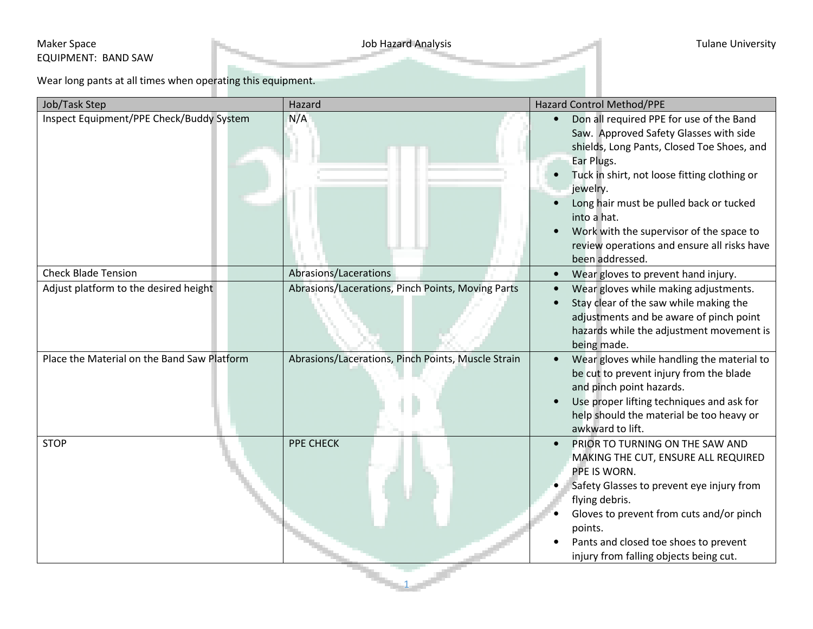## Maker Space **Maker Space** Tulane University EQUIPMENT: BAND SAW

Wear long pants at all times when operating this equipment.

| Job/Task Step                                                                        | Hazard                                                                                                  | <b>Hazard Control Method/PPE</b>                                                                                                                                                                                                                                                                                                                                                                             |
|--------------------------------------------------------------------------------------|---------------------------------------------------------------------------------------------------------|--------------------------------------------------------------------------------------------------------------------------------------------------------------------------------------------------------------------------------------------------------------------------------------------------------------------------------------------------------------------------------------------------------------|
| Inspect Equipment/PPE Check/Buddy System                                             | N/A                                                                                                     | Don all required PPE for use of the Band<br>Saw. Approved Safety Glasses with side<br>shields, Long Pants, Closed Toe Shoes, and<br>Ear Plugs.<br>Tuck in shirt, not loose fitting clothing or<br>$\bullet$<br>jewelry.<br>Long hair must be pulled back or tucked<br>into a hat.<br>Work with the supervisor of the space to<br>$\bullet$<br>review operations and ensure all risks have<br>been addressed. |
| <b>Check Blade Tension</b>                                                           | Abrasions/Lacerations                                                                                   | Wear gloves to prevent hand injury.<br>$\bullet$                                                                                                                                                                                                                                                                                                                                                             |
| Adjust platform to the desired height<br>Place the Material on the Band Saw Platform | Abrasions/Lacerations, Pinch Points, Moving Parts<br>Abrasions/Lacerations, Pinch Points, Muscle Strain | Wear gloves while making adjustments.<br>$\bullet$<br>Stay clear of the saw while making the<br>$\bullet$<br>adjustments and be aware of pinch point<br>hazards while the adjustment movement is<br>being made.<br>Wear gloves while handling the material to<br>$\bullet$<br>be cut to prevent injury from the blade<br>and pinch point hazards.<br>Use proper lifting techniques and ask for               |
|                                                                                      |                                                                                                         | help should the material be too heavy or<br>awkward to lift.                                                                                                                                                                                                                                                                                                                                                 |
| <b>STOP</b>                                                                          | PPE CHECK                                                                                               | PRIOR TO TURNING ON THE SAW AND<br>$\bullet$<br>MAKING THE CUT, ENSURE ALL REQUIRED<br>PPE IS WORN.<br>Safety Glasses to prevent eye injury from<br>flying debris.<br>Gloves to prevent from cuts and/or pinch<br>points.<br>Pants and closed toe shoes to prevent<br>injury from falling objects being cut.                                                                                                 |

1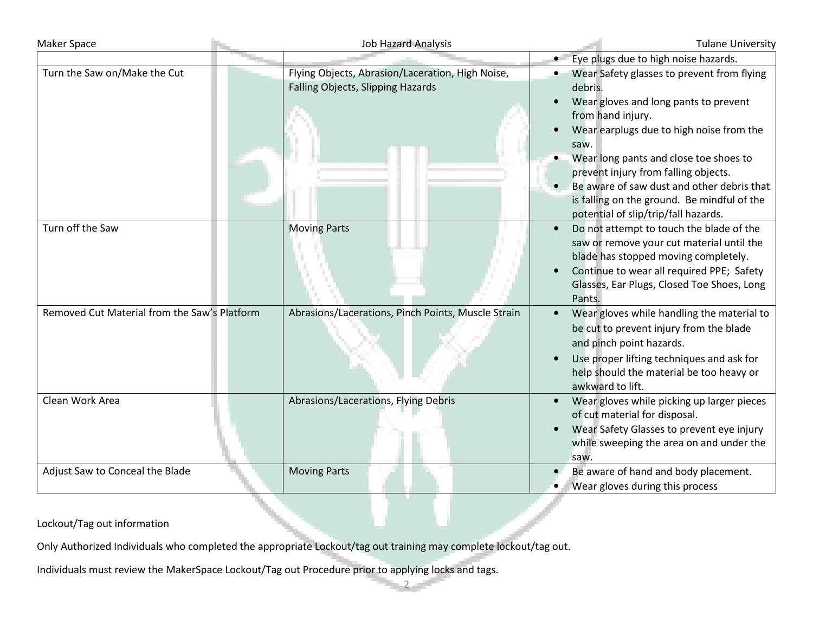| <b>Maker Space</b>                           | <b>Job Hazard Analysis</b>                                                            | <b>Tulane University</b>                                                                                                                                                                                                                                                                                                                                                                       |
|----------------------------------------------|---------------------------------------------------------------------------------------|------------------------------------------------------------------------------------------------------------------------------------------------------------------------------------------------------------------------------------------------------------------------------------------------------------------------------------------------------------------------------------------------|
|                                              |                                                                                       | Eye plugs due to high noise hazards.<br>$\bullet$                                                                                                                                                                                                                                                                                                                                              |
| Turn the Saw on/Make the Cut                 | Flying Objects, Abrasion/Laceration, High Noise,<br>Falling Objects, Slipping Hazards | Wear Safety glasses to prevent from flying<br>debris.<br>Wear gloves and long pants to prevent<br>from hand injury.<br>Wear earplugs due to high noise from the<br>saw.<br>Wear long pants and close toe shoes to<br>prevent injury from falling objects.<br>Be aware of saw dust and other debris that<br>is falling on the ground. Be mindful of the<br>potential of slip/trip/fall hazards. |
| Turn off the Saw                             | <b>Moving Parts</b>                                                                   | Do not attempt to touch the blade of the<br>saw or remove your cut material until the<br>blade has stopped moving completely.<br>Continue to wear all required PPE; Safety<br>Glasses, Ear Plugs, Closed Toe Shoes, Long<br>Pants.                                                                                                                                                             |
| Removed Cut Material from the Saw's Platform | Abrasions/Lacerations, Pinch Points, Muscle Strain                                    | Wear gloves while handling the material to<br>be cut to prevent injury from the blade<br>and pinch point hazards.<br>Use proper lifting techniques and ask for<br>help should the material be too heavy or<br>awkward to lift.                                                                                                                                                                 |
| Clean Work Area                              | Abrasions/Lacerations, Flying Debris                                                  | Wear gloves while picking up larger pieces<br>of cut material for disposal.<br>Wear Safety Glasses to prevent eye injury<br>while sweeping the area on and under the<br>saw.                                                                                                                                                                                                                   |
| Adjust Saw to Conceal the Blade              | <b>Moving Parts</b>                                                                   | Be aware of hand and body placement.<br>Wear gloves during this process                                                                                                                                                                                                                                                                                                                        |

# Lockout/Tag out information

Only Authorized Individuals who completed the appropriate Lockout/tag out training may complete lockout/tag out.

Individuals must review the MakerSpace Lockout/Tag out Procedure prior to applying locks and tags.